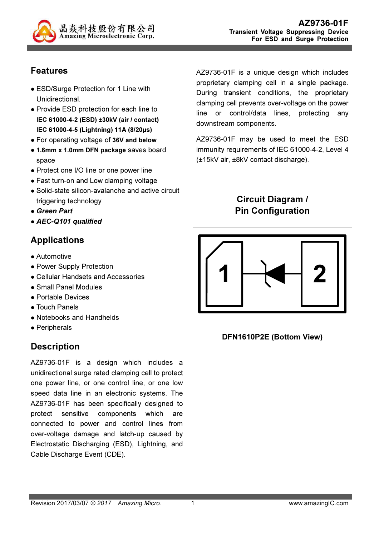

## Features

- ESD/Surge Protection for 1 Line with Unidirectional.
- Provide ESD protection for each line to IEC 61000-4-2 (ESD) ±30kV (air / contact) IEC 61000-4-5 (Lightning) 11A (8/20µs)
- For operating voltage of 36V and below
- 1.6mm x 1.0mm DFN package saves board space
- Protect one I/O line or one power line
- Fast turn-on and Low clamping voltage
- Solid-state silicon-avalanche and active circuit triggering technology
- Green Part
- AEC-Q101 qualified

#### Applications

- **Automotive**
- Power Supply Protection
- Cellular Handsets and Accessories
- Small Panel Modules
- Portable Devices
- Touch Panels
- Notebooks and Handhelds
- Peripherals

## **Description**

AZ9736-01F is a design which includes a unidirectional surge rated clamping cell to protect one power line, or one control line, or one low speed data line in an electronic systems. The AZ9736-01F has been specifically designed to protect sensitive components which are connected to power and control lines from over-voltage damage and latch-up caused by Electrostatic Discharging (ESD), Lightning, and Cable Discharge Event (CDE).

AZ9736-01F is a unique design which includes proprietary clamping cell in a single package. During transient conditions, the proprietary clamping cell prevents over-voltage on the power line or control/data lines, protecting any downstream components.

AZ9736-01F may be used to meet the ESD immunity requirements of IEC 61000-4-2, Level 4 (±15kV air, ±8kV contact discharge).

## Circuit Diagram / Pin Configuration



DFN1610P2E (Bottom View)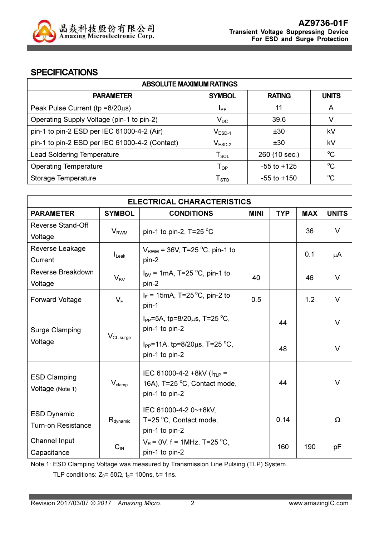

#### **SPECIFICATIONS**

| <b>ABSOLUTE MAXIMUM RATINGS</b>                |                             |                 |              |  |
|------------------------------------------------|-----------------------------|-----------------|--------------|--|
| <b>PARAMETER</b>                               | <b>SYMBOL</b>               | <b>RATING</b>   | <b>UNITS</b> |  |
| Peak Pulse Current ( $tp = 8/20\mu s$ )        | <b>I</b> pp                 | 11              | A            |  |
| Operating Supply Voltage (pin-1 to pin-2)      | $V_{DC}$                    | 39.6            | v            |  |
| pin-1 to pin-2 ESD per IEC 61000-4-2 (Air)     | $V_{ESD-1}$                 | ±30             | kV           |  |
| pin-1 to pin-2 ESD per IEC 61000-4-2 (Contact) | $V_{ESD-2}$                 | ±30             | kV           |  |
| <b>Lead Soldering Temperature</b>              | $T_{\textnormal{SOL}}$      | 260 (10 sec.)   | $^{\circ}C$  |  |
| <b>Operating Temperature</b>                   | ${\mathsf T}_{\textsf{OP}}$ | $-55$ to $+125$ | $^{\circ}C$  |  |
| Storage Temperature                            | ${\mathsf T}_{\text{STO}}$  | $-55$ to $+150$ | $^{\circ}C$  |  |

| <b>ELECTRICAL CHARACTERISTICS</b> |                                        |                                                                                                                                                                                                             |             |                  |            |                       |
|-----------------------------------|----------------------------------------|-------------------------------------------------------------------------------------------------------------------------------------------------------------------------------------------------------------|-------------|------------------|------------|-----------------------|
| <b>PARAMETER</b>                  | <b>SYMBOL</b>                          | <b>CONDITIONS</b>                                                                                                                                                                                           | <b>MINI</b> | <b>TYP</b>       | <b>MAX</b> | <b>UNITS</b>          |
| Reverse Stand-Off                 |                                        |                                                                                                                                                                                                             |             |                  | 36         | $\vee$                |
| Voltage                           | <b>V</b> <sub>RWM</sub>                | pin-1 to pin-2, $T=25 \degree C$                                                                                                                                                                            |             |                  |            |                       |
| Reverse Leakage                   |                                        | $V_{RWM}$ = 36V, T=25 °C, pin-1 to                                                                                                                                                                          |             |                  | 0.1        |                       |
| Current                           | $I_{\text{Leak}}$                      | pin-2                                                                                                                                                                                                       |             |                  |            | μA                    |
| Reverse Breakdown                 |                                        | $I_{BV}$ = 1mA, T=25 °C, pin-1 to                                                                                                                                                                           | 40          |                  |            | $\vee$                |
| Voltage                           | $V_{BV}$                               | pin-2                                                                                                                                                                                                       |             |                  | 46         |                       |
| <b>Forward Voltage</b>            | $V_F$                                  | $I_F$ = 15mA, T=25 °C, pin-2 to                                                                                                                                                                             | 0.5         |                  | 1.2        | V                     |
|                                   |                                        | pin-1                                                                                                                                                                                                       |             |                  |            |                       |
|                                   |                                        | $I_{PP}$ =5A, tp=8/20 $\mu$ s, T=25 °C,                                                                                                                                                                     |             |                  |            |                       |
| <b>Surge Clamping</b>             |                                        | pin-1 to pin-2                                                                                                                                                                                              |             |                  |            |                       |
| Voltage                           |                                        | I <sub>PP</sub> =11A, tp=8/20 $\mu$ s, T=25 °C,                                                                                                                                                             |             |                  |            |                       |
|                                   |                                        | pin-1 to pin-2                                                                                                                                                                                              |             |                  |            |                       |
|                                   |                                        |                                                                                                                                                                                                             |             |                  |            |                       |
| <b>ESD Clamping</b>               | $V_{\text{clamp}}$                     |                                                                                                                                                                                                             |             | 44               |            | $\vee$                |
| Voltage (Note 1)                  |                                        |                                                                                                                                                                                                             |             |                  |            |                       |
|                                   |                                        |                                                                                                                                                                                                             |             |                  |            |                       |
| <b>ESD Dynamic</b>                |                                        |                                                                                                                                                                                                             |             |                  |            |                       |
| <b>Turn-on Resistance</b>         |                                        |                                                                                                                                                                                                             |             |                  |            |                       |
|                                   |                                        |                                                                                                                                                                                                             |             |                  |            |                       |
|                                   | $C_{\text{IN}}$                        |                                                                                                                                                                                                             |             | 160              | 190        | рF                    |
| Channel Input<br>Capacitance      | $V_{CL-surge}$<br>$R_{\text{dynamic}}$ | IEC 61000-4-2 +8kV ( $I_{TLP}$ =<br>16A), T=25 °C, Contact mode,<br>pin-1 to pin-2<br>IEC 61000-4-2 0~+8kV,<br>T=25 °C, Contact mode,<br>pin-1 to pin-2<br>$V_R$ = 0V, f = 1MHz, T=25 °C,<br>pin-1 to pin-2 |             | 44<br>48<br>0.14 |            | $\vee$<br>$\vee$<br>Ω |

Note 1: ESD Clamping Voltage was measured by Transmission Line Pulsing (TLP) System.

TLP conditions:  $Z_0$ = 50 $\Omega$ ,  $t_p$ = 100ns,  $t_r$ = 1ns.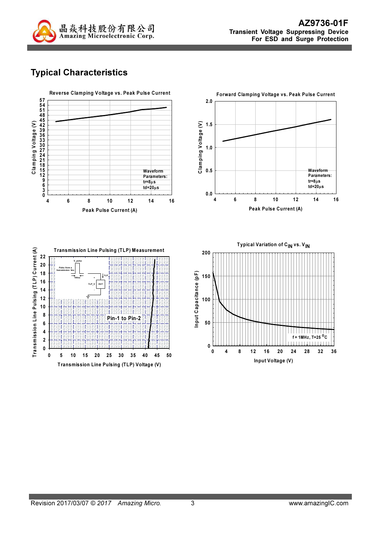

# Typical Characteristics

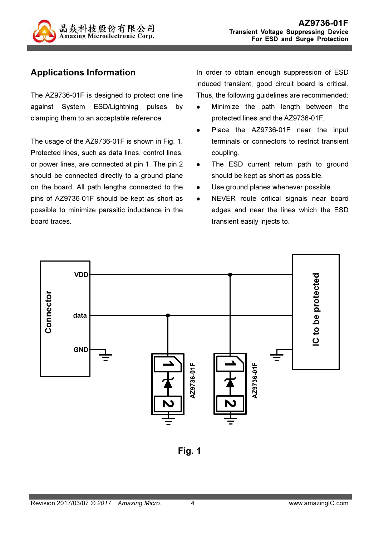

# Applications Information

The AZ9736-01F is designed to protect one line against System ESD/Lightning pulses by clamping them to an acceptable reference.

The usage of the AZ9736-01F is shown in Fig. 1. Protected lines, such as data lines, control lines, or power lines, are connected at pin 1. The pin 2 should be connected directly to a ground plane on the board. All path lengths connected to the pins of AZ9736-01F should be kept as short as possible to minimize parasitic inductance in the board traces.

In order to obtain enough suppression of ESD induced transient, good circuit board is critical. Thus, the following guidelines are recommended:

- Minimize the path length between the protected lines and the AZ9736-01F.
- Place the AZ9736-01F near the input terminals or connectors to restrict transient coupling.
- The ESD current return path to ground should be kept as short as possible.
- Use ground planes whenever possible.
- NEVER route critical signals near board edges and near the lines which the ESD transient easily injects to.



Fig. 1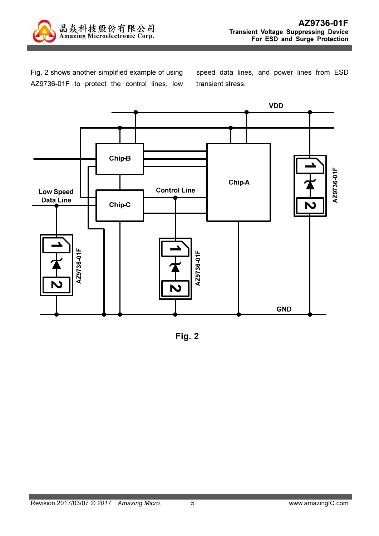

Fig. 2 shows another simplified example of using AZ9736-01F to protect the control lines, low speed data lines, and power lines from ESD transient stress.



Fig. 2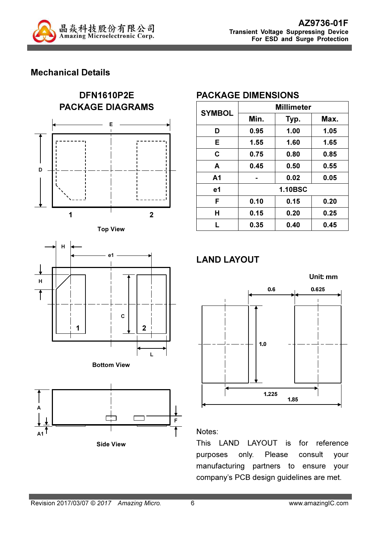

### Mechanical Details











#### PACKAGE DIMENSIONS

| <b>SYMBOL</b>  | <b>Millimeter</b> |      |      |  |
|----------------|-------------------|------|------|--|
|                | Min.              | Typ. | Max. |  |
| D              | 0.95              | 1.00 | 1.05 |  |
| Е              | 1.55              | 1.60 | 1.65 |  |
| C              | 0.75              | 0.80 | 0.85 |  |
| A              | 0.45              | 0.50 | 0.55 |  |
| A <sub>1</sub> |                   | 0.02 | 0.05 |  |
| e1             | <b>1.10BSC</b>    |      |      |  |
| F              | 0.10              | 0.15 | 0.20 |  |
| H              | 0.15              | 0.20 | 0.25 |  |
| L              | 0.35              | 0.40 | 0.45 |  |

# LAND LAYOUT



#### Notes:

This LAND LAYOUT is for reference purposes only. Please consult your manufacturing partners to ensure your company's PCB design guidelines are met.